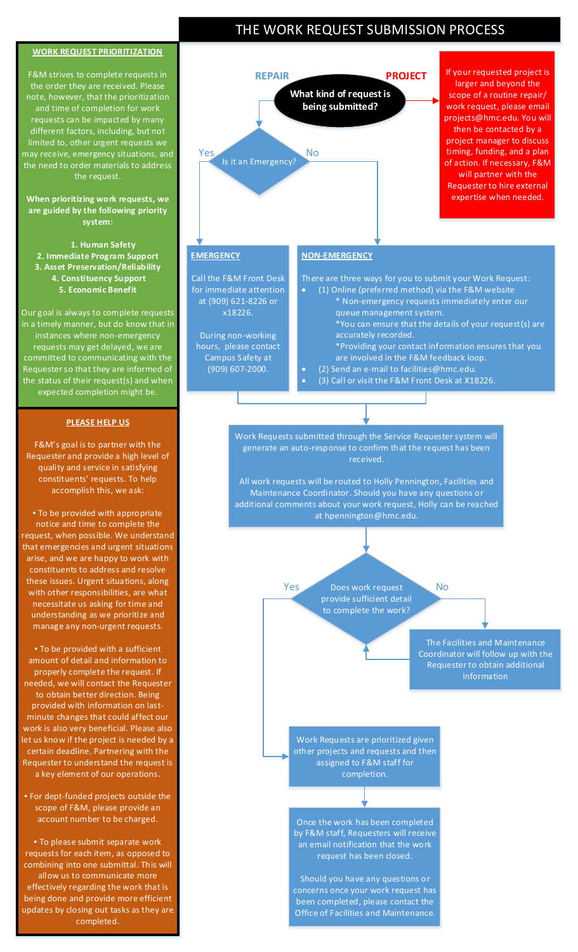## **WORK REQUEST PRIORITIZATION**

F&M strives to complete requests in the order they are received. Please note, however, that the prioritization and time of completion for work requests can be impacted by many different factors, including, but not limited to, other urgent requests we may receive, emergency situations, and the need to order materials to address the request.

## **When prioritizing work requests, we are guided by the following priority system:**

 **1. Human Safety 2. Immediate Program Support 3. Asset Preservation/Reliability 4. Constituency Support 5. Economic Benefit**

Our goal is always to complete requests in a timely manner, but do know that in instances where non-emergency requests may get delayed, we are committed to communicating with the Requester so that they are informed of the status of their request(s) and when expected completion might be.

#### **PLEASE HELP US**

F&M's goal is to partner with the Requester and provide a high level of quality and service in satisfying constituents' requests. To help accomplish this, we ask:

▪ To be provided with appropriate notice and time to complete the request, when possible. We understand that emergencies and urgent situations arise, and we are happy to work with constituents to address and resolve these issues. Urgent situations, along with other responsibilities, are what necessitate us asking for time and understanding as we prioritize and manage any non-urgent requests.

▪ To be provided with a sufficient amount of detail and information to properly complete the request. If needed, we will contact the Requester to obtain better direction. Being provided with information on lastminute changes that could affect our work is also very beneficial. Please also let us know if the project is needed by a certain deadline. Partnering with the Requester to understand the request is a key element of our operations.

▪ For dept-funded projects outside the scope of F&M, please provide an account number to be charged.

▪ To please submit separate work requests for each item, as opposed to combining into one submittal. This will allow us to communicate more effectively regarding the work that is being done and provide more efficient updates by closing out tasks as they are completed.





other projects and requests and then assigned to F&M staff for completion.

Once the work has been completed by F&M staff, Requesters will receive an email notification that the work request has been closed.

Should you have any questions or concerns once your work request has been completed, please contact the Office of Facilities and Maintenance.